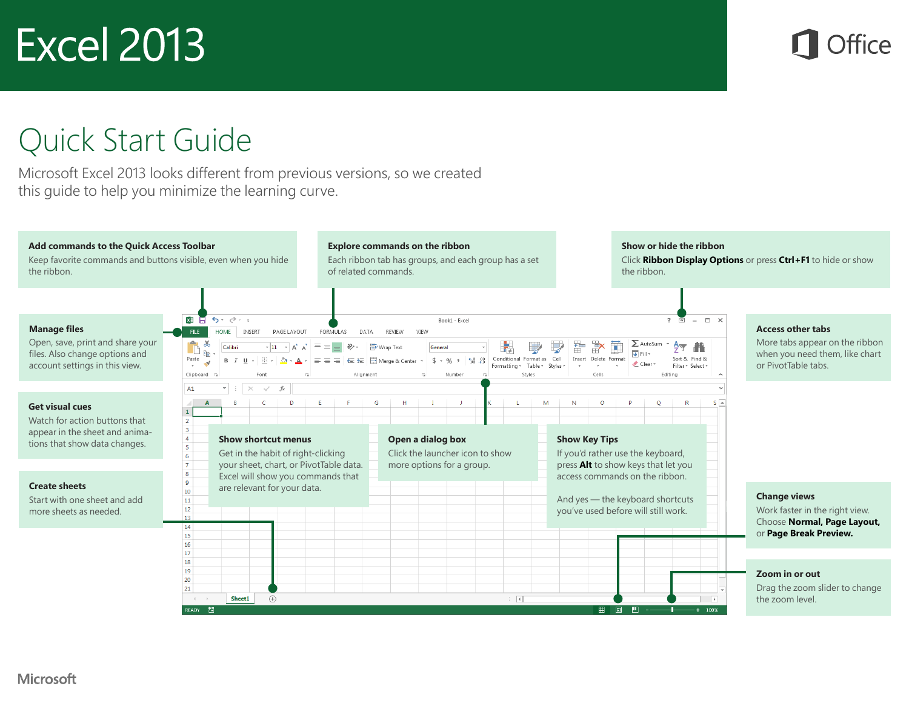#### Quick Start Guide

Microsoft Excel 2013 looks different from previous versions, so we created this guide to help you minimize the learning curve.

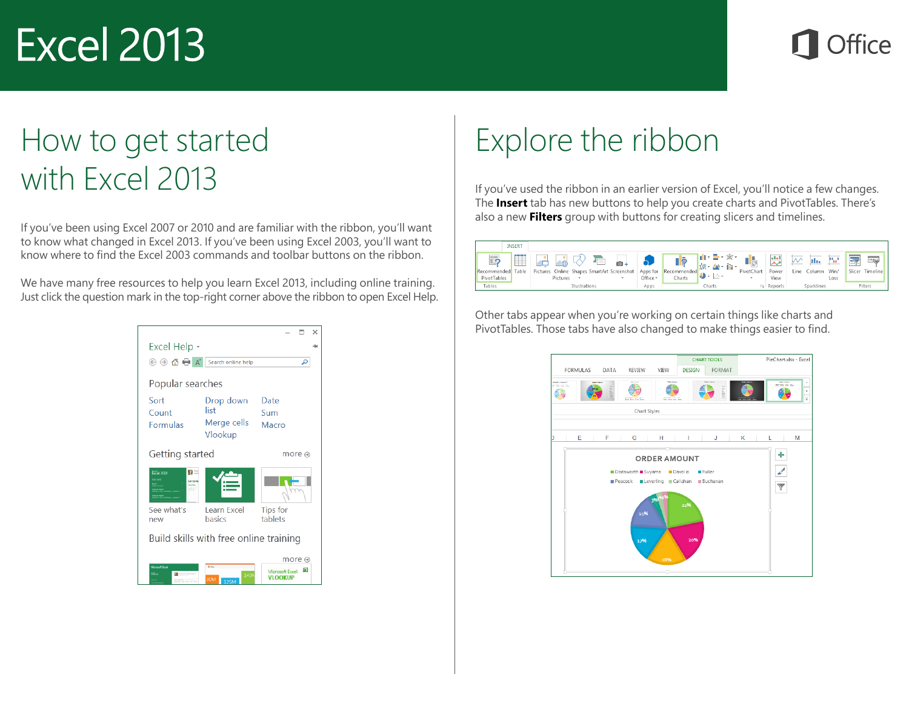#### How to get started with Excel 2013

If you've been using Excel 2007 or 2010 and are familiar with the ribbon, you'll want to know what changed in Excel 2013. If you've been using Excel 2003, you'll want to know where to find the Excel 2003 commands and toolbar buttons on the ribbon.

We have many free resources to help you learn Excel 2013, including online training. Just click the question mark in the top-right corner above the ribbon to open Excel Help.



### Explore the ribbon

If you've used the ribbon in an earlier version of Excel, you'll notice a few changes. The **Insert** tab has new buttons to help you create charts and PivotTables. There's also a new **Filters** group with buttons for creating slicers and timelines.



Other tabs appear when you're working on certain things like charts and PivotTables. Those tabs have also changed to make things easier to find.

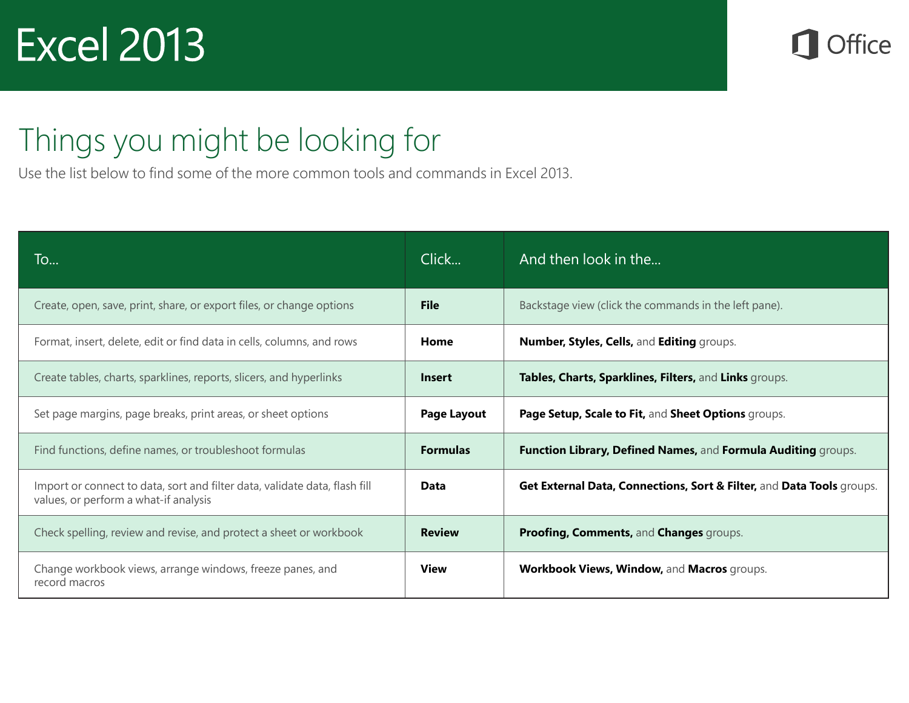**Office** 

### Things you might be looking for

Use the list below to find some of the more common tools and commands in Excel 2013.

| To                                                                                                                  | Click              | And then look in the                                                  |
|---------------------------------------------------------------------------------------------------------------------|--------------------|-----------------------------------------------------------------------|
| Create, open, save, print, share, or export files, or change options                                                | <b>File</b>        | Backstage view (click the commands in the left pane).                 |
| Format, insert, delete, edit or find data in cells, columns, and rows                                               | Home               | Number, Styles, Cells, and Editing groups.                            |
| Create tables, charts, sparklines, reports, slicers, and hyperlinks                                                 | <b>Insert</b>      | Tables, Charts, Sparklines, Filters, and Links groups.                |
| Set page margins, page breaks, print areas, or sheet options                                                        | <b>Page Layout</b> | Page Setup, Scale to Fit, and Sheet Options groups.                   |
| Find functions, define names, or troubleshoot formulas                                                              | <b>Formulas</b>    | Function Library, Defined Names, and Formula Auditing groups.         |
| Import or connect to data, sort and filter data, validate data, flash fill<br>values, or perform a what-if analysis | Data               | Get External Data, Connections, Sort & Filter, and Data Tools groups. |
| Check spelling, review and revise, and protect a sheet or workbook                                                  | <b>Review</b>      | Proofing, Comments, and Changes groups.                               |
| Change workbook views, arrange windows, freeze panes, and<br>record macros                                          | <b>View</b>        | Workbook Views, Window, and Macros groups.                            |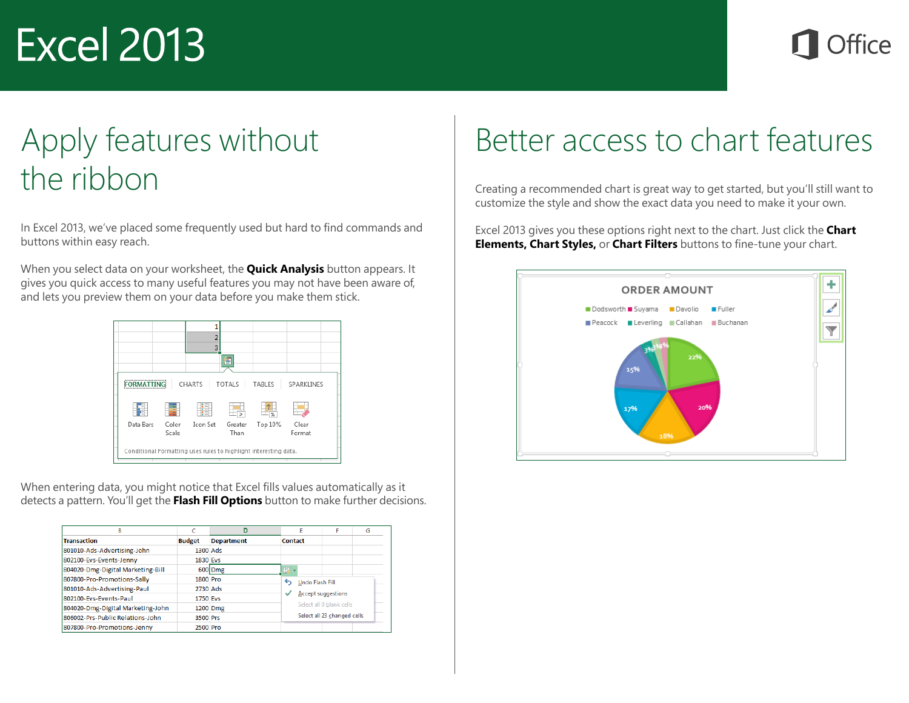### Apply features without the ribbon

In Excel 2013, we've placed some frequently used but hard to find commands and buttons within easy reach.

When you select data on your worksheet, the **Quick Analysis** button appears. It gives you quick access to many useful features you may not have been aware of, and lets you preview them on your data before you make them stick.

|                                                                  |                | B                   | e               |         |                 |  |
|------------------------------------------------------------------|----------------|---------------------|-----------------|---------|-----------------|--|
|                                                                  |                | CHARTS              | <b>TOTALS</b>   | TABLES  | SPARKLINES      |  |
|                                                                  |                | $\cdot$ –<br>$\sim$ |                 | %       |                 |  |
| Data Bars                                                        | Color<br>Scale | Icon Set            | Greater<br>Than | Top 10% | Clear<br>Format |  |
| Conditional Formatting uses rules to highlight interesting data. |                |                     |                 |         |                 |  |

When entering data, you might notice that Excel fills values automatically as it detects a pattern. You'll get the **Flash Fill Options** button to make further decisions.

| R                                 | c               | D                 |                | Е                                                                                         | F | G |
|-----------------------------------|-----------------|-------------------|----------------|-------------------------------------------------------------------------------------------|---|---|
| <b>Transaction</b>                | <b>Budget</b>   | <b>Department</b> | <b>Contact</b> |                                                                                           |   |   |
| 801010-Ads-Advertising-John       | 1300 Ads        |                   |                |                                                                                           |   |   |
| 802100-Evs-Events-Jenny           | <b>1830 Evs</b> |                   |                |                                                                                           |   |   |
| 804020-Dmg-Digital Marketing-Bill |                 | 600 Dmg           | Ð              |                                                                                           |   |   |
| 807800-Pro-Promotions-Sally       | 1800 Pro        |                   | ь              | <b>Undo Flash Fill</b>                                                                    |   |   |
| 801010-Ads-Advertising-Paul       | 2730 Ads        |                   |                |                                                                                           |   |   |
| 802100-Evs-Events-Paul            | <b>1750 Evs</b> |                   |                | <b>Accept suggestions</b><br>◡<br>Select all 0 blank cells<br>Select all 23 changed cells |   |   |
| 804020-Dmg-Digital Marketing-John |                 | 1200 Dmg          |                |                                                                                           |   |   |
| 806002-Prs-Public Relations-John  | 3500 Prs        |                   |                |                                                                                           |   |   |
| 807800-Pro-Promotions-Jenny       | 2500 Pro        |                   |                |                                                                                           |   |   |

### Better access to chart features

Creating a recommended chart is great way to get started, but you'll still want to customize the style and show the exact data you need to make it your own.

Excel 2013 gives you these options right next to the chart. Just click the **Chart Elements, Chart Styles,** or **Chart Filters** buttons to fine-tune your chart.

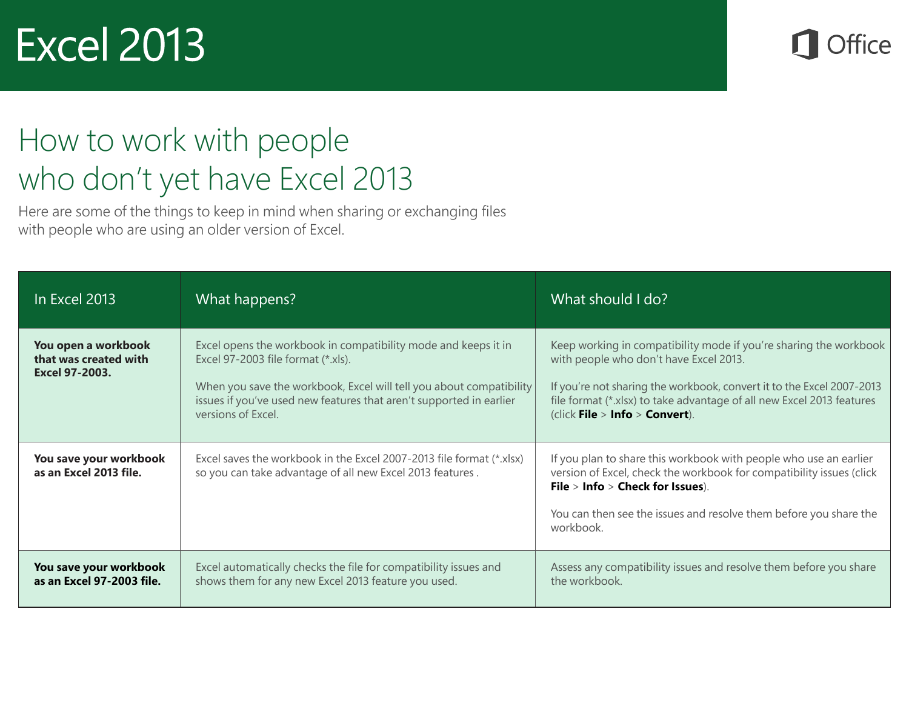**Office** 

### How to work with people who don't yet have Excel 2013

Here are some of the things to keep in mind when sharing or exchanging files with people who are using an older version of Excel.

| In Excel 2013                                                  | What happens?                                                                                                                                                                                                                                                            | What should I do?                                                                                                                                                                                                                                                                               |  |  |
|----------------------------------------------------------------|--------------------------------------------------------------------------------------------------------------------------------------------------------------------------------------------------------------------------------------------------------------------------|-------------------------------------------------------------------------------------------------------------------------------------------------------------------------------------------------------------------------------------------------------------------------------------------------|--|--|
| You open a workbook<br>that was created with<br>Excel 97-2003. | Excel opens the workbook in compatibility mode and keeps it in<br>Excel 97-2003 file format (*.xls).<br>When you save the workbook, Excel will tell you about compatibility<br>issues if you've used new features that aren't supported in earlier<br>versions of Excel. | Keep working in compatibility mode if you're sharing the workbook<br>with people who don't have Excel 2013.<br>If you're not sharing the workbook, convert it to the Excel 2007-2013<br>file format (*.xlsx) to take advantage of all new Excel 2013 features<br>(click File > Info > Convert). |  |  |
| You save your workbook<br>as an Excel 2013 file.               | Excel saves the workbook in the Excel 2007-2013 file format (*.xlsx)<br>so you can take advantage of all new Excel 2013 features.                                                                                                                                        | If you plan to share this workbook with people who use an earlier<br>version of Excel, check the workbook for compatibility issues (click<br>File > Info > Check for Issues).<br>You can then see the issues and resolve them before you share the<br>workbook.                                 |  |  |
| You save your workbook<br>as an Excel 97-2003 file.            | Excel automatically checks the file for compatibility issues and<br>shows them for any new Excel 2013 feature you used.                                                                                                                                                  | Assess any compatibility issues and resolve them before you share<br>the workbook.                                                                                                                                                                                                              |  |  |